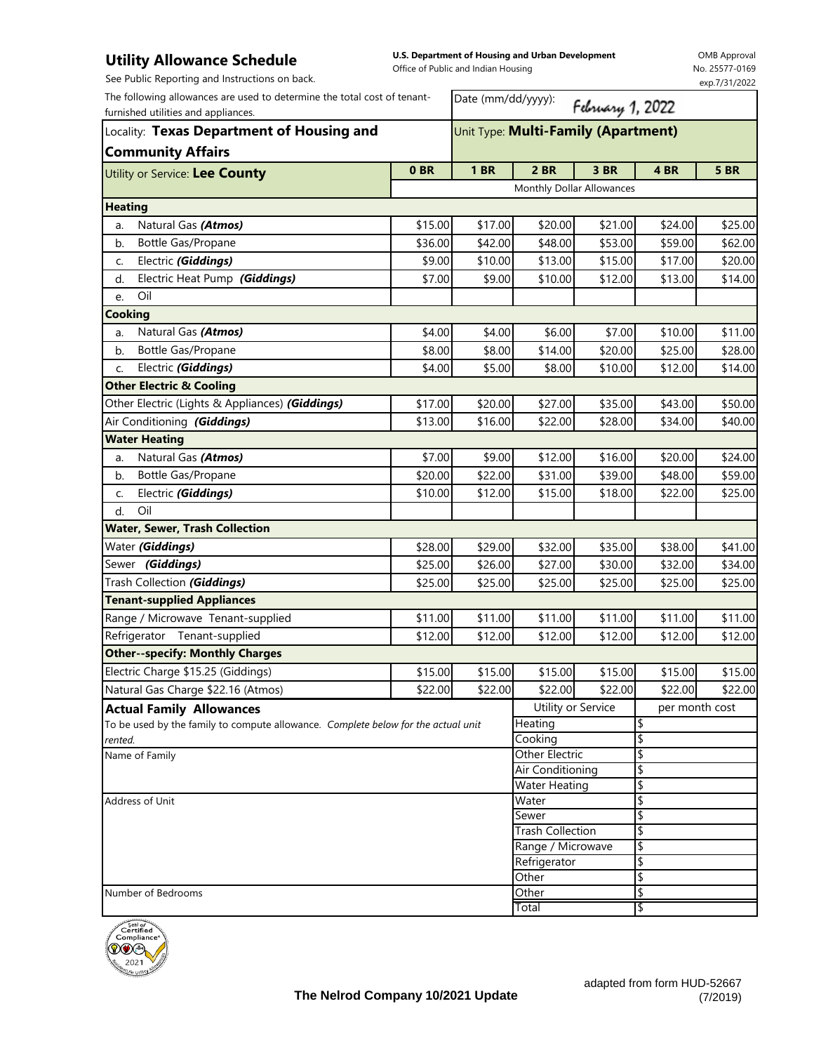## **Utility Allowance Schedule**

**U.S. Department of Housing and Urban Development**  Office of Public and Indian Housing

OMB Approval No. 25577-0169 exp.7/31/2022

| See Public Reporting and Instructions on back.                                                                  |                                     | Office of Fublic and mulan Housing |                           |                         |                | exp.7/31/2022 |  |
|-----------------------------------------------------------------------------------------------------------------|-------------------------------------|------------------------------------|---------------------------|-------------------------|----------------|---------------|--|
| The following allowances are used to determine the total cost of tenant-<br>furnished utilities and appliances. |                                     | Date (mm/dd/yyyy):                 |                           | February 1, 2022        |                |               |  |
| Locality: Texas Department of Housing and                                                                       | Unit Type: Multi-Family (Apartment) |                                    |                           |                         |                |               |  |
| <b>Community Affairs</b>                                                                                        | 0 <sub>BR</sub>                     | <b>1 BR</b>                        | 2 BR                      | <b>3 BR</b>             | 4BR            | <b>5 BR</b>   |  |
| Utility or Service: Lee County                                                                                  |                                     |                                    | Monthly Dollar Allowances |                         |                |               |  |
| <b>Heating</b>                                                                                                  |                                     |                                    |                           |                         |                |               |  |
| Natural Gas (Atmos)<br>a.                                                                                       | \$15.00                             | \$17.00                            | \$20.00                   | \$21.00                 | \$24.00        | \$25.00       |  |
| Bottle Gas/Propane<br>b.                                                                                        | \$36.00                             | \$42.00                            | \$48.00                   | \$53.00                 | \$59.00        | \$62.00       |  |
| Electric (Giddings)<br>C.                                                                                       | \$9.00                              | \$10.00                            | \$13.00                   | \$15.00                 | \$17.00        | \$20.00       |  |
| Electric Heat Pump (Giddings)<br>d.                                                                             | \$7.00                              | \$9.00                             | \$10.00                   | \$12.00                 | \$13.00        | \$14.00       |  |
| Oil<br>e.                                                                                                       |                                     |                                    |                           |                         |                |               |  |
| <b>Cooking</b>                                                                                                  |                                     |                                    |                           |                         |                |               |  |
| Natural Gas (Atmos)<br>a.                                                                                       | \$4.00                              | \$4.00                             | \$6.00                    | \$7.00                  | \$10.00        | \$11.00       |  |
| Bottle Gas/Propane<br>b.                                                                                        | \$8.00                              | \$8.00                             | \$14.00                   | \$20.00                 | \$25.00        | \$28.00       |  |
| Electric (Giddings)<br>C.                                                                                       | \$4.00                              | \$5.00                             | \$8.00                    | \$10.00                 | \$12.00        | \$14.00       |  |
| <b>Other Electric &amp; Cooling</b>                                                                             |                                     |                                    |                           |                         |                |               |  |
| Other Electric (Lights & Appliances) (Giddings)                                                                 | \$17.00                             | \$20.00                            | \$27.00                   | \$35.00                 | \$43.00        | \$50.00       |  |
| Air Conditioning (Giddings)                                                                                     | \$13.00                             | \$16.00                            | \$22.00                   | \$28.00                 | \$34.00        | \$40.00       |  |
| <b>Water Heating</b>                                                                                            |                                     |                                    |                           |                         |                |               |  |
| Natural Gas (Atmos)<br>a.                                                                                       | \$7.00                              | \$9.00                             | \$12.00                   | \$16.00                 | \$20.00        | \$24.00       |  |
| Bottle Gas/Propane<br>b.                                                                                        | \$20.00                             | \$22.00                            | \$31.00                   | \$39.00                 | \$48.00        | \$59.00       |  |
| Electric (Giddings)<br>C.                                                                                       | \$10.00                             | \$12.00                            | \$15.00                   | \$18.00                 | \$22.00        | \$25.00       |  |
| Oil<br>d.                                                                                                       |                                     |                                    |                           |                         |                |               |  |
| <b>Water, Sewer, Trash Collection</b>                                                                           |                                     |                                    |                           |                         |                |               |  |
| Water (Giddings)                                                                                                | \$28.00                             | \$29.00                            | \$32.00                   | \$35.00                 | \$38.00        | \$41.00       |  |
| Sewer (Giddings)                                                                                                | \$25.00                             | \$26.00                            | \$27.00                   | \$30.00                 | \$32.00        | \$34.00       |  |
| Trash Collection (Giddings)                                                                                     | \$25.00                             | \$25.00                            | \$25.00                   | \$25.00                 | \$25.00        | \$25.00       |  |
| <b>Tenant-supplied Appliances</b>                                                                               |                                     |                                    |                           |                         |                |               |  |
| Range / Microwave Tenant-supplied                                                                               | \$11.00                             | \$11.00                            | \$11.00                   | \$11.00                 | \$11.00        | \$11.00       |  |
| Refrigerator Tenant-supplied                                                                                    | \$12.00                             | \$12.00                            | \$12.00                   | \$12.00                 | \$12.00        | \$12.00       |  |
| <b>Other--specify: Monthly Charges</b>                                                                          |                                     |                                    |                           |                         |                |               |  |
| Electric Charge \$15.25 (Giddings)                                                                              | \$15.00                             | \$15.00                            | \$15.00                   | \$15.00                 | \$15.00        | \$15.00       |  |
| Natural Gas Charge \$22.16 (Atmos)                                                                              | \$22.00                             | \$22.00                            | \$22.00                   | \$22.00                 | \$22.00        | \$22.00       |  |
| <b>Actual Family Allowances</b>                                                                                 |                                     |                                    | Utility or Service        |                         | per month cost |               |  |
| To be used by the family to compute allowance. Complete below for the actual unit                               |                                     |                                    | Heating                   |                         | \$             |               |  |
| rented.                                                                                                         |                                     |                                    | Cooking                   |                         | \$             |               |  |
| Name of Family                                                                                                  |                                     |                                    | <b>Other Electric</b>     |                         | \$             |               |  |
|                                                                                                                 |                                     |                                    | Air Conditioning          |                         | \$             |               |  |
|                                                                                                                 |                                     | <b>Water Heating</b>               |                           | \$                      |                |               |  |
| Address of Unit                                                                                                 |                                     |                                    | Water<br>Sewer            |                         | \$             |               |  |
|                                                                                                                 |                                     |                                    |                           | <b>Trash Collection</b> |                | \$<br>\$      |  |
|                                                                                                                 |                                     | Range / Microwave                  |                           | \$                      |                |               |  |
|                                                                                                                 |                                     |                                    | Refrigerator              |                         | \$             |               |  |
|                                                                                                                 |                                     |                                    | Other                     |                         | \$             |               |  |
| Number of Bedrooms                                                                                              |                                     |                                    | Other                     |                         | \$             |               |  |
|                                                                                                                 |                                     |                                    | Total                     |                         | \$             |               |  |